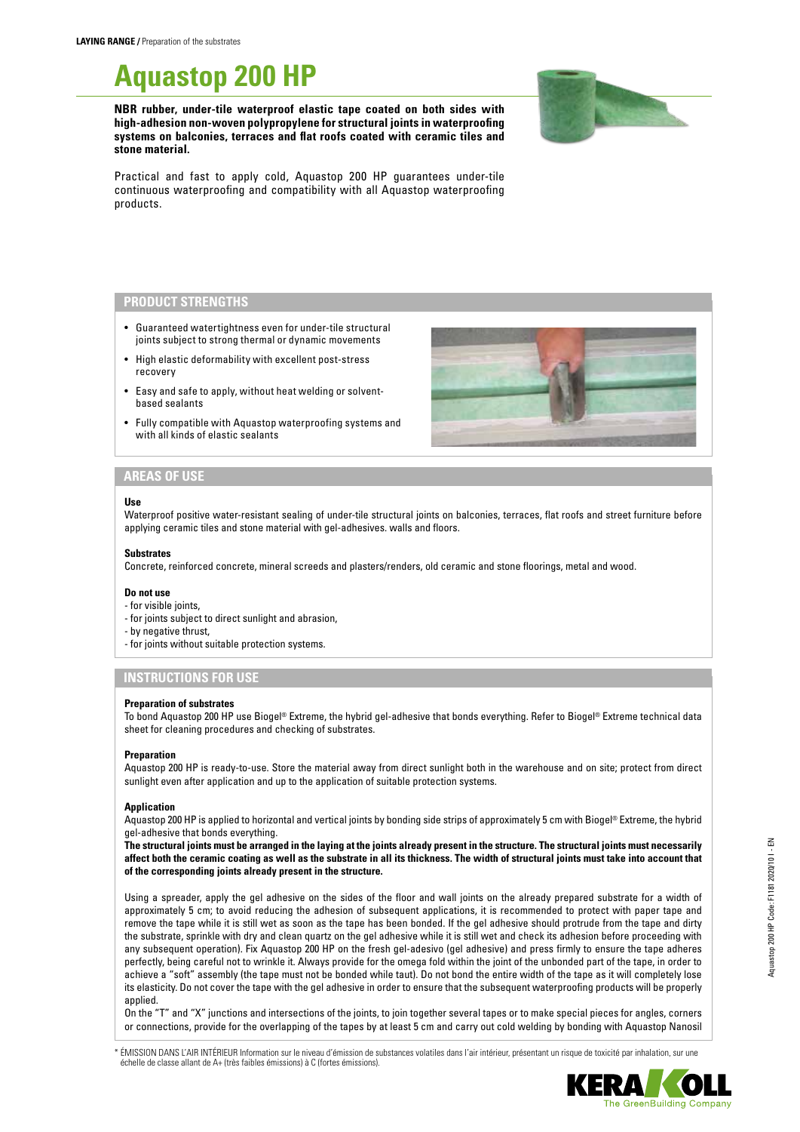# **Aquastop 200 HP**

**NBR rubber, under-tile waterproof elastic tape coated on both sides with high-adhesion non-woven polypropylene for structural joints in waterproofing systems on balconies, terraces and flat roofs coated with ceramic tiles and stone material.**



Practical and fast to apply cold, Aquastop 200 HP guarantees under-tile continuous waterproofing and compatibility with all Aquastop waterproofing products.

# **PRODUCT STRENGTHS**

- Guaranteed watertightness even for under-tile structural joints subject to strong thermal or dynamic movements
- High elastic deformability with excellent post-stress recovery
- Easy and safe to apply, without heat welding or solventbased sealants
- Fully compatible with Aquastop waterproofing systems and with all kinds of elastic sealants



## **AREAS OF USE**

### **Use**

Waterproof positive water-resistant sealing of under-tile structural joints on balconies, terraces, flat roofs and street furniture before applying ceramic tiles and stone material with gel-adhesives. walls and floors.

#### **Substrates**

Concrete, reinforced concrete, mineral screeds and plasters/renders, old ceramic and stone floorings, metal and wood.

#### **Do not use**

- for visible joints,
- for joints subject to direct sunlight and abrasion,
- by negative thrust,
- for joints without suitable protection systems.

# **INSTRUCTIONS FOR USE**

#### **Preparation of substrates**

To bond Aquastop 200 HP use Biogel® Extreme, the hybrid gel-adhesive that bonds everything. Refer to Biogel® Extreme technical data sheet for cleaning procedures and checking of substrates.

#### **Preparation**

Aquastop 200 HP is ready-to-use. Store the material away from direct sunlight both in the warehouse and on site; protect from direct sunlight even after application and up to the application of suitable protection systems.

#### **Application**

Aquastop 200 HP is applied to horizontal and vertical joints by bonding side strips of approximately 5 cm with Biogel® Extreme, the hybrid gel-adhesive that bonds everything.

**The structural joints must be arranged in the laying at the joints already present in the structure. The structural joints must necessarily affect both the ceramic coating as well as the substrate in all its thickness. The width of structural joints must take into account that of the corresponding joints already present in the structure.**

Using a spreader, apply the gel adhesive on the sides of the floor and wall joints on the already prepared substrate for a width of approximately 5 cm; to avoid reducing the adhesion of subsequent applications, it is recommended to protect with paper tape and remove the tape while it is still wet as soon as the tape has been bonded. If the gel adhesive should protrude from the tape and dirty the substrate, sprinkle with dry and clean quartz on the gel adhesive while it is still wet and check its adhesion before proceeding with any subsequent operation). Fix Aquastop 200 HP on the fresh gel-adesivo (gel adhesive) and press firmly to ensure the tape adheres perfectly, being careful not to wrinkle it. Always provide for the omega fold within the joint of the unbonded part of the tape, in order to achieve a "soft" assembly (the tape must not be bonded while taut). Do not bond the entire width of the tape as it will completely lose its elasticity. Do not cover the tape with the gel adhesive in order to ensure that the subsequent waterproofing products will be properly applied.

On the "T" and "X" junctions and intersections of the joints, to join together several tapes or to make special pieces for angles, corners or connections, provide for the overlapping of the tapes by at least 5 cm and carry out cold welding by bonding with Aquastop Nanosil

ÉMISSION DANS L'AIR INTÉRIEUR Information sur le niveau d'émission de substances volatiles dans l'air intérieur, présentant un risque de toxicité par inhalation, sur une échelle de classe allant de A+ (très faibles émissions) à C (fortes émissions).



ne GreenBuilding Company

Aquastop 200 HP Code: F1181 2020/10 I - EN

Aquastop 200 HP Code: F1181 2020/10 I - EN